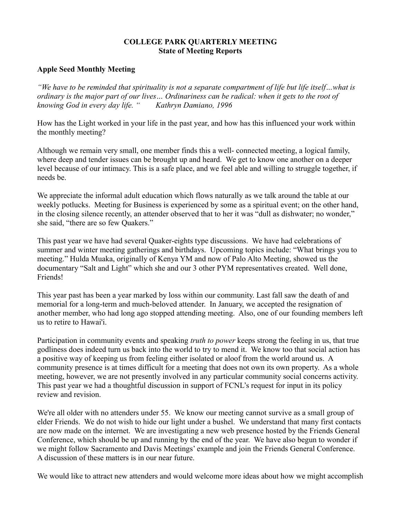### **COLLEGE PARK QUARTERLY MEETING State of Meeting Reports**

### **Apple Seed Monthly Meeting**

*"We have to be reminded that spirituality is not a separate compartment of life but life itself…what is ordinary is the major part of our lives… Ordinariness can be radical: when it gets to the root of knowing God in every day life. " Kathryn Damiano, 1996*

How has the Light worked in your life in the past year, and how has this influenced your work within the monthly meeting?

Although we remain very small, one member finds this a well- connected meeting, a logical family, where deep and tender issues can be brought up and heard. We get to know one another on a deeper level because of our intimacy. This is a safe place, and we feel able and willing to struggle together, if needs be.

We appreciate the informal adult education which flows naturally as we talk around the table at our weekly potlucks. Meeting for Business is experienced by some as a spiritual event; on the other hand, in the closing silence recently, an attender observed that to her it was "dull as dishwater; no wonder," she said, "there are so few Quakers."

This past year we have had several Quaker-eights type discussions. We have had celebrations of summer and winter meeting gatherings and birthdays. Upcoming topics include: "What brings you to meeting." Hulda Muaka, originally of Kenya YM and now of Palo Alto Meeting, showed us the documentary "Salt and Light" which she and our 3 other PYM representatives created. Well done, Friends!

This year past has been a year marked by loss within our community. Last fall saw the death of and memorial for a long-term and much-beloved attender. In January, we accepted the resignation of another member, who had long ago stopped attending meeting. Also, one of our founding members left us to retire to Hawai'i.

Participation in community events and speaking *truth to power* keeps strong the feeling in us, that true godliness does indeed turn us back into the world to try to mend it. We know too that social action has a positive way of keeping us from feeling either isolated or aloof from the world around us. A community presence is at times difficult for a meeting that does not own its own property. As a whole meeting, however, we are not presently involved in any particular community social concerns activity. This past year we had a thoughtful discussion in support of FCNL's request for input in its policy review and revision.

We're all older with no attenders under 55. We know our meeting cannot survive as a small group of elder Friends. We do not wish to hide our light under a bushel. We understand that many first contacts are now made on the internet. We are investigating a new web presence hosted by the Friends General Conference, which should be up and running by the end of the year. We have also begun to wonder if we might follow Sacramento and Davis Meetings' example and join the Friends General Conference. A discussion of these matters is in our near future.

We would like to attract new attenders and would welcome more ideas about how we might accomplish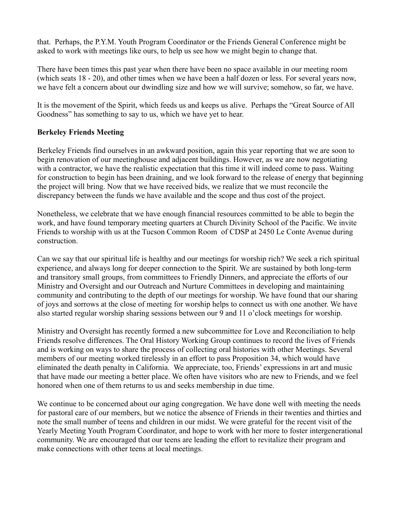that. Perhaps, the P.Y.M. Youth Program Coordinator or the Friends General Conference might be asked to work with meetings like ours, to help us see how we might begin to change that.

There have been times this past year when there have been no space available in our meeting room (which seats 18 - 20), and other times when we have been a half dozen or less. For several years now, we have felt a concern about our dwindling size and how we will survive; somehow, so far, we have.

It is the movement of the Spirit, which feeds us and keeps us alive. Perhaps the "Great Source of All Goodness" has something to say to us, which we have yet to hear.

## **Berkeley Friends Meeting**

Berkeley Friends find ourselves in an awkward position, again this year reporting that we are soon to begin renovation of our meetinghouse and adjacent buildings. However, as we are now negotiating with a contractor, we have the realistic expectation that this time it will indeed come to pass. Waiting for construction to begin has been draining, and we look forward to the release of energy that beginning the project will bring. Now that we have received bids, we realize that we must reconcile the discrepancy between the funds we have available and the scope and thus cost of the project.

Nonetheless, we celebrate that we have enough financial resources committed to be able to begin the work, and have found temporary meeting quarters at Church Divinity School of the Pacific. We invite Friends to worship with us at the Tucson Common Room of CDSP at 2450 Le Conte Avenue during construction.

Can we say that our spiritual life is healthy and our meetings for worship rich? We seek a rich spiritual experience, and always long for deeper connection to the Spirit. We are sustained by both long-term and transitory small groups, from committees to Friendly Dinners, and appreciate the efforts of our Ministry and Oversight and our Outreach and Nurture Committees in developing and maintaining community and contributing to the depth of our meetings for worship. We have found that our sharing of joys and sorrows at the close of meeting for worship helps to connect us with one another. We have also started regular worship sharing sessions between our 9 and 11 o'clock meetings for worship.

Ministry and Oversight has recently formed a new subcommittee for Love and Reconciliation to help Friends resolve differences. The Oral History Working Group continues to record the lives of Friends and is working on ways to share the process of collecting oral histories with other Meetings. Several members of our meeting worked tirelessly in an effort to pass Proposition 34, which would have eliminated the death penalty in California. We appreciate, too, Friends' expressions in art and music that have made our meeting a better place. We often have visitors who are new to Friends, and we feel honored when one of them returns to us and seeks membership in due time.

We continue to be concerned about our aging congregation. We have done well with meeting the needs for pastoral care of our members, but we notice the absence of Friends in their twenties and thirties and note the small number of teens and children in our midst. We were grateful for the recent visit of the Yearly Meeting Youth Program Coordinator, and hope to work with her more to foster intergenerational community. We are encouraged that our teens are leading the effort to revitalize their program and make connections with other teens at local meetings.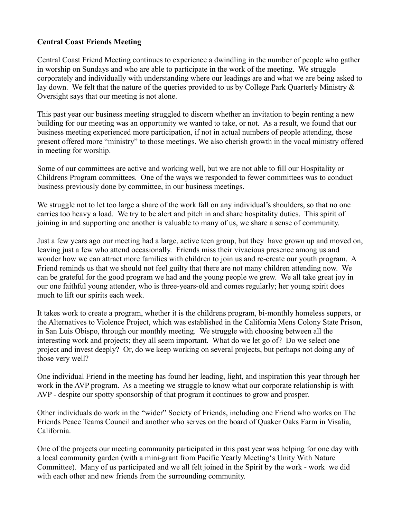## **Central Coast Friends Meeting**

Central Coast Friend Meeting continues to experience a dwindling in the number of people who gather in worship on Sundays and who are able to participate in the work of the meeting. We struggle corporately and individually with understanding where our leadings are and what we are being asked to lay down. We felt that the nature of the queries provided to us by College Park Quarterly Ministry  $\&$ Oversight says that our meeting is not alone.

This past year our business meeting struggled to discern whether an invitation to begin renting a new building for our meeting was an opportunity we wanted to take, or not. As a result, we found that our business meeting experienced more participation, if not in actual numbers of people attending, those present offered more "ministry" to those meetings. We also cherish growth in the vocal ministry offered in meeting for worship.

Some of our committees are active and working well, but we are not able to fill our Hospitality or Childrens Program committees. One of the ways we responded to fewer committees was to conduct business previously done by committee, in our business meetings.

We struggle not to let too large a share of the work fall on any individual's shoulders, so that no one carries too heavy a load. We try to be alert and pitch in and share hospitality duties. This spirit of joining in and supporting one another is valuable to many of us, we share a sense of community.

Just a few years ago our meeting had a large, active teen group, but they have grown up and moved on, leaving just a few who attend occasionally. Friends miss their vivacious presence among us and wonder how we can attract more families with children to join us and re-create our youth program. A Friend reminds us that we should not feel guilty that there are not many children attending now. We can be grateful for the good program we had and the young people we grew. We all take great joy in our one faithful young attender, who is three-years-old and comes regularly; her young spirit does much to lift our spirits each week.

It takes work to create a program, whether it is the childrens program, bi-monthly homeless suppers, or the Alternatives to Violence Project, which was established in the California Mens Colony State Prison, in San Luis Obispo, through our monthly meeting. We struggle with choosing between all the interesting work and projects; they all seem important. What do we let go of? Do we select one project and invest deeply? Or, do we keep working on several projects, but perhaps not doing any of those very well?

One individual Friend in the meeting has found her leading, light, and inspiration this year through her work in the AVP program. As a meeting we struggle to know what our corporate relationship is with AVP - despite our spotty sponsorship of that program it continues to grow and prosper.

Other individuals do work in the "wider" Society of Friends, including one Friend who works on The Friends Peace Teams Council and another who serves on the board of Quaker Oaks Farm in Visalia, California.

One of the projects our meeting community participated in this past year was helping for one day with a local community garden (with a mini-grant from Pacific Yearly Meeting's Unity With Nature Committee). Many of us participated and we all felt joined in the Spirit by the work - work we did with each other and new friends from the surrounding community.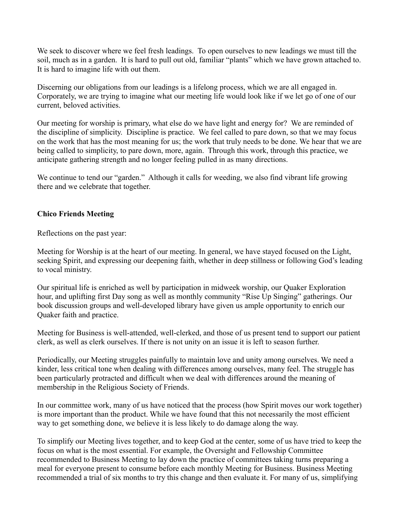We seek to discover where we feel fresh leadings. To open ourselves to new leadings we must till the soil, much as in a garden. It is hard to pull out old, familiar "plants" which we have grown attached to. It is hard to imagine life with out them.

Discerning our obligations from our leadings is a lifelong process, which we are all engaged in. Corporately, we are trying to imagine what our meeting life would look like if we let go of one of our current, beloved activities.

Our meeting for worship is primary, what else do we have light and energy for? We are reminded of the discipline of simplicity. Discipline is practice. We feel called to pare down, so that we may focus on the work that has the most meaning for us; the work that truly needs to be done. We hear that we are being called to simplicity, to pare down, more, again. Through this work, through this practice, we anticipate gathering strength and no longer feeling pulled in as many directions.

We continue to tend our "garden." Although it calls for weeding, we also find vibrant life growing there and we celebrate that together.

## **Chico Friends Meeting**

Reflections on the past year:

Meeting for Worship is at the heart of our meeting. In general, we have stayed focused on the Light, seeking Spirit, and expressing our deepening faith, whether in deep stillness or following God's leading to vocal ministry.

Our spiritual life is enriched as well by participation in midweek worship, our Quaker Exploration hour, and uplifting first Day song as well as monthly community "Rise Up Singing" gatherings. Our book discussion groups and well-developed library have given us ample opportunity to enrich our Quaker faith and practice.

Meeting for Business is well-attended, well-clerked, and those of us present tend to support our patient clerk, as well as clerk ourselves. If there is not unity on an issue it is left to season further.

Periodically, our Meeting struggles painfully to maintain love and unity among ourselves. We need a kinder, less critical tone when dealing with differences among ourselves, many feel. The struggle has been particularly protracted and difficult when we deal with differences around the meaning of membership in the Religious Society of Friends.

In our committee work, many of us have noticed that the process (how Spirit moves our work together) is more important than the product. While we have found that this not necessarily the most efficient way to get something done, we believe it is less likely to do damage along the way.

To simplify our Meeting lives together, and to keep God at the center, some of us have tried to keep the focus on what is the most essential. For example, the Oversight and Fellowship Committee recommended to Business Meeting to lay down the practice of committees taking turns preparing a meal for everyone present to consume before each monthly Meeting for Business. Business Meeting recommended a trial of six months to try this change and then evaluate it. For many of us, simplifying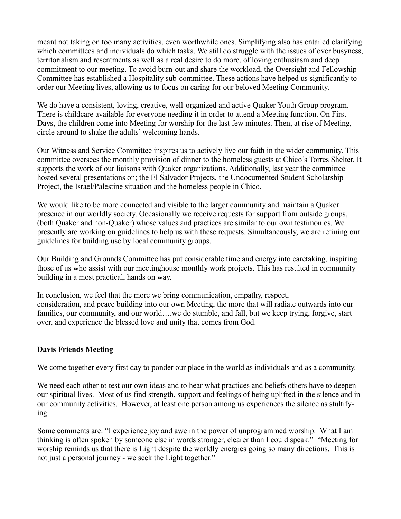meant not taking on too many activities, even worthwhile ones. Simplifying also has entailed clarifying which committees and individuals do which tasks. We still do struggle with the issues of over busyness, territorialism and resentments as well as a real desire to do more, of loving enthusiasm and deep commitment to our meeting. To avoid burn-out and share the workload, the Oversight and Fellowship Committee has established a Hospitality sub-committee. These actions have helped us significantly to order our Meeting lives, allowing us to focus on caring for our beloved Meeting Community.

We do have a consistent, loving, creative, well-organized and active Quaker Youth Group program. There is childcare available for everyone needing it in order to attend a Meeting function. On First Days, the children come into Meeting for worship for the last few minutes. Then, at rise of Meeting, circle around to shake the adults' welcoming hands.

Our Witness and Service Committee inspires us to actively live our faith in the wider community. This committee oversees the monthly provision of dinner to the homeless guests at Chico's Torres Shelter. It supports the work of our liaisons with Quaker organizations. Additionally, last year the committee hosted several presentations on; the El Salvador Projects, the Undocumented Student Scholarship Project, the Israel/Palestine situation and the homeless people in Chico.

We would like to be more connected and visible to the larger community and maintain a Quaker presence in our worldly society. Occasionally we receive requests for support from outside groups, (both Quaker and non-Quaker) whose values and practices are similar to our own testimonies. We presently are working on guidelines to help us with these requests. Simultaneously, we are refining our guidelines for building use by local community groups.

Our Building and Grounds Committee has put considerable time and energy into caretaking, inspiring those of us who assist with our meetinghouse monthly work projects. This has resulted in community building in a most practical, hands on way.

In conclusion, we feel that the more we bring communication, empathy, respect, consideration, and peace building into our own Meeting, the more that will radiate outwards into our families, our community, and our world….we do stumble, and fall, but we keep trying, forgive, start over, and experience the blessed love and unity that comes from God.

## **Davis Friends Meeting**

We come together every first day to ponder our place in the world as individuals and as a community.

We need each other to test our own ideas and to hear what practices and beliefs others have to deepen our spiritual lives. Most of us find strength, support and feelings of being uplifted in the silence and in our community activities. However, at least one person among us experiences the silence as stultifying.

Some comments are: "I experience joy and awe in the power of unprogrammed worship. What I am thinking is often spoken by someone else in words stronger, clearer than I could speak." "Meeting for worship reminds us that there is Light despite the worldly energies going so many directions. This is not just a personal journey - we seek the Light together."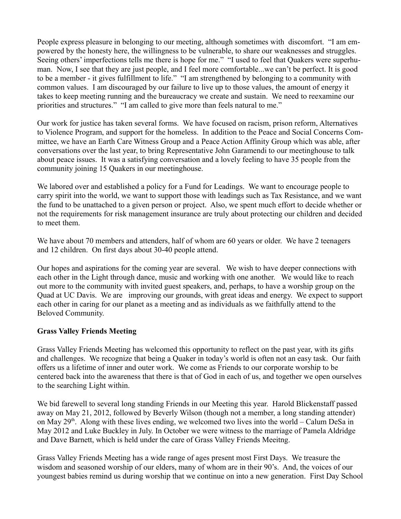People express pleasure in belonging to our meeting, although sometimes with discomfort. "I am empowered by the honesty here, the willingness to be vulnerable, to share our weaknesses and struggles. Seeing others' imperfections tells me there is hope for me." "I used to feel that Quakers were superhuman. Now, I see that they are just people, and I feel more comfortable...we can't be perfect. It is good to be a member - it gives fulfillment to life." "I am strengthened by belonging to a community with common values. I am discouraged by our failure to live up to those values, the amount of energy it takes to keep meeting running and the bureaucracy we create and sustain. We need to reexamine our priorities and structures." "I am called to give more than feels natural to me."

Our work for justice has taken several forms. We have focused on racism, prison reform, Alternatives to Violence Program, and support for the homeless. In addition to the Peace and Social Concerns Committee, we have an Earth Care Witness Group and a Peace Action Affinity Group which was able, after conversations over the last year, to bring Representative John Garamendi to our meetinghouse to talk about peace issues. It was a satisfying conversation and a lovely feeling to have 35 people from the community joining 15 Quakers in our meetinghouse.

We labored over and established a policy for a Fund for Leadings. We want to encourage people to carry spirit into the world, we want to support those with leadings such as Tax Resistance, and we want the fund to be unattached to a given person or project. Also, we spent much effort to decide whether or not the requirements for risk management insurance are truly about protecting our children and decided to meet them.

We have about 70 members and attenders, half of whom are 60 years or older. We have 2 teenagers and 12 children. On first days about 30-40 people attend.

Our hopes and aspirations for the coming year are several. We wish to have deeper connections with each other in the Light through dance, music and working with one another. We would like to reach out more to the community with invited guest speakers, and, perhaps, to have a worship group on the Quad at UC Davis. We are improving our grounds, with great ideas and energy. We expect to support each other in caring for our planet as a meeting and as individuals as we faithfully attend to the Beloved Community.

#### **Grass Valley Friends Meeting**

Grass Valley Friends Meeting has welcomed this opportunity to reflect on the past year, with its gifts and challenges. We recognize that being a Quaker in today's world is often not an easy task. Our faith offers us a lifetime of inner and outer work. We come as Friends to our corporate worship to be centered back into the awareness that there is that of God in each of us, and together we open ourselves to the searching Light within.

We bid farewell to several long standing Friends in our Meeting this year. Harold Blickenstaff passed away on May 21, 2012, followed by Beverly Wilson (though not a member, a long standing attender) on May  $29<sup>th</sup>$ . Along with these lives ending, we welcomed two lives into the world – Calum DeSa in May 2012 and Luke Buckley in July. In October we were witness to the marriage of Pamela Aldridge and Dave Barnett, which is held under the care of Grass Valley Friends Meeitng.

Grass Valley Friends Meeting has a wide range of ages present most First Days. We treasure the wisdom and seasoned worship of our elders, many of whom are in their 90's. And, the voices of our youngest babies remind us during worship that we continue on into a new generation. First Day School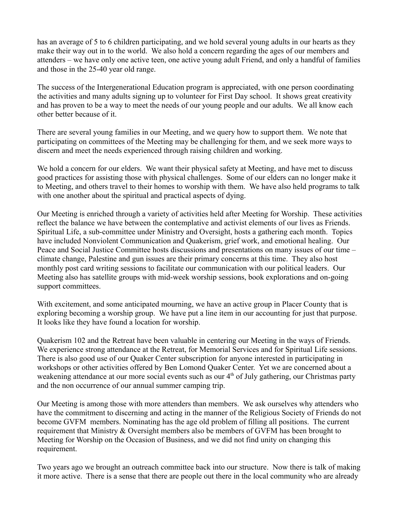has an average of 5 to 6 children participating, and we hold several young adults in our hearts as they make their way out in to the world. We also hold a concern regarding the ages of our members and attenders – we have only one active teen, one active young adult Friend, and only a handful of families and those in the 25-40 year old range.

The success of the Intergenerational Education program is appreciated, with one person coordinating the activities and many adults signing up to volunteer for First Day school. It shows great creativity and has proven to be a way to meet the needs of our young people and our adults. We all know each other better because of it.

There are several young families in our Meeting, and we query how to support them. We note that participating on committees of the Meeting may be challenging for them, and we seek more ways to discern and meet the needs experienced through raising children and working.

We hold a concern for our elders. We want their physical safety at Meeting, and have met to discuss good practices for assisting those with physical challenges. Some of our elders can no longer make it to Meeting, and others travel to their homes to worship with them. We have also held programs to talk with one another about the spiritual and practical aspects of dying.

Our Meeting is enriched through a variety of activities held after Meeting for Worship. These activities reflect the balance we have between the contemplative and activist elements of our lives as Friends. Spiritual Life, a sub-committee under Ministry and Oversight, hosts a gathering each month. Topics have included Nonviolent Communication and Quakerism, grief work, and emotional healing. Our Peace and Social Justice Committee hosts discussions and presentations on many issues of our time – climate change, Palestine and gun issues are their primary concerns at this time. They also host monthly post card writing sessions to facilitate our communication with our political leaders. Our Meeting also has satellite groups with mid-week worship sessions, book explorations and on-going support committees.

With excitement, and some anticipated mourning, we have an active group in Placer County that is exploring becoming a worship group. We have put a line item in our accounting for just that purpose. It looks like they have found a location for worship.

Quakerism 102 and the Retreat have been valuable in centering our Meeting in the ways of Friends. We experience strong attendance at the Retreat, for Memorial Services and for Spiritual Life sessions. There is also good use of our Quaker Center subscription for anyone interested in participating in workshops or other activities offered by Ben Lomond Quaker Center. Yet we are concerned about a weakening attendance at our more social events such as our  $4<sup>th</sup>$  of July gathering, our Christmas party and the non occurrence of our annual summer camping trip.

Our Meeting is among those with more attenders than members. We ask ourselves why attenders who have the commitment to discerning and acting in the manner of the Religious Society of Friends do not become GVFM members. Nominating has the age old problem of filling all positions. The current requirement that Ministry & Oversight members also be members of GVFM has been brought to Meeting for Worship on the Occasion of Business, and we did not find unity on changing this requirement.

Two years ago we brought an outreach committee back into our structure. Now there is talk of making it more active. There is a sense that there are people out there in the local community who are already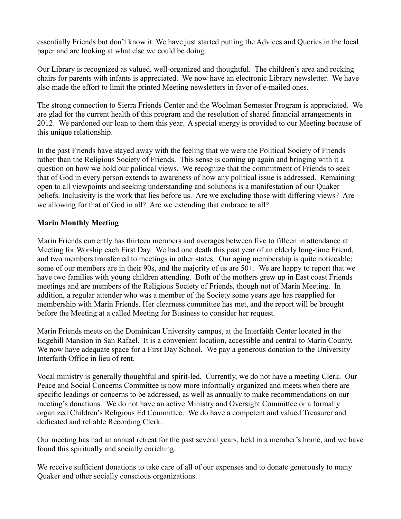essentially Friends but don't know it. We have just started putting the Advices and Queries in the local paper and are looking at what else we could be doing.

Our Library is recognized as valued, well-organized and thoughtful. The children's area and rocking chairs for parents with infants is appreciated. We now have an electronic Library newsletter. We have also made the effort to limit the printed Meeting newsletters in favor of e-mailed ones.

The strong connection to Sierra Friends Center and the Woolman Semester Program is appreciated. We are glad for the current health of this program and the resolution of shared financial arrangements in 2012. We pardoned our loan to them this year. A special energy is provided to our Meeting because of this unique relationship.

In the past Friends have stayed away with the feeling that we were the Political Society of Friends rather than the Religious Society of Friends. This sense is coming up again and bringing with it a question on how we hold our political views. We recognize that the commitment of Friends to seek that of God in every person extends to awareness of how any political issue is addressed. Remaining open to all viewpoints and seeking understanding and solutions is a manifestation of our Quaker beliefs. Inclusivity is the work that lies before us. Are we excluding those with differing views? Are we allowing for that of God in all? Are we extending that embrace to all?

## **Marin Monthly Meeting**

Marin Friends currently has thirteen members and averages between five to fifteen in attendance at Meeting for Worship each First Day. We had one death this past year of an elderly long-time Friend, and two members transferred to meetings in other states. Our aging membership is quite noticeable; some of our members are in their 90s, and the majority of us are 50+. We are happy to report that we have two families with young children attending. Both of the mothers grew up in East coast Friends meetings and are members of the Religious Society of Friends, though not of Marin Meeting. In addition, a regular attender who was a member of the Society some years ago has reapplied for membership with Marin Friends. Her clearness committee has met, and the report will be brought before the Meeting at a called Meeting for Business to consider her request.

Marin Friends meets on the Dominican University campus, at the Interfaith Center located in the Edgehill Mansion in San Rafael. It is a convenient location, accessible and central to Marin County. We now have adequate space for a First Day School. We pay a generous donation to the University Interfaith Office in lieu of rent.

Vocal ministry is generally thoughtful and spirit-led. Currently, we do not have a meeting Clerk. Our Peace and Social Concerns Committee is now more informally organized and meets when there are specific leadings or concerns to be addressed, as well as annually to make recommendations on our meeting's donations. We do not have an active Ministry and Oversight Committee or a formally organized Children's Religious Ed Committee. We do have a competent and valued Treasurer and dedicated and reliable Recording Clerk.

Our meeting has had an annual retreat for the past several years, held in a member's home, and we have found this spiritually and socially enriching.

We receive sufficient donations to take care of all of our expenses and to donate generously to many Quaker and other socially conscious organizations.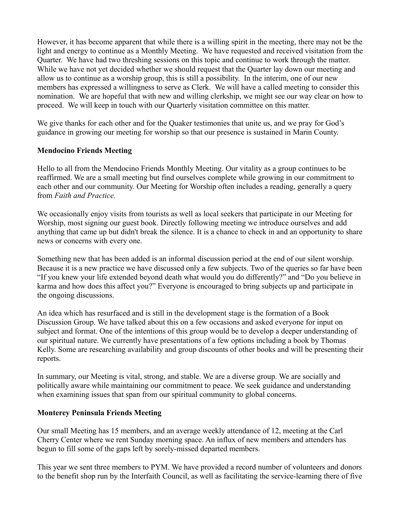However, it has become apparent that while there is a willing spirit in the meeting, there may not be the light and energy to continue as a Monthly Meeting. We have requested and received visitation from the Quarter. We have had two threshing sessions on this topic and continue to work through the matter. While we have not yet decided whether we should request that the Quarter lay down our meeting and allow us to continue as a worship group, this is still a possibility. In the interim, one of our new members has expressed a willingness to serve as Clerk. We will have a called meeting to consider this nomination. We are hopeful that with new and willing clerkship, we might see our way clear on how to proceed. We will keep in touch with our Quarterly visitation committee on this matter.

We give thanks for each other and for the Quaker testimonies that unite us, and we pray for God's guidance in growing our meeting for worship so that our presence is sustained in Marin County.

# **Mendocino Friends Meeting**

Hello to all from the Mendocino Friends Monthly Meeting. Our vitality as a group continues to be reaffirmed. We are a small meeting but find ourselves complete while growing in our commitment to each other and our community. Our Meeting for Worship often includes a reading, generally a query from *Faith and Practice.*

We occasionally enjoy visits from tourists as well as local seekers that participate in our Meeting for Worship, most signing our guest book. Directly following meeting we introduce ourselves and add anything that came up but didn't break the silence. It is a chance to check in and an opportunity to share news or concerns with every one.

Something new that has been added is an informal discussion period at the end of our silent worship. Because it is a new practice we have discussed only a few subjects. Two of the queries so far have been "If you knew your life extended beyond death what would you do differently?" and "Do you believe in karma and how does this affect you?" Everyone is encouraged to bring subjects up and participate in the ongoing discussions.

An idea which has resurfaced and is still in the development stage is the formation of a Book Discussion Group. We have talked about this on a few occasions and asked everyone for input on subject and format. One of the intentions of this group would be to develop a deeper understanding of our spiritual nature. We currently have presentations of a few options including a book by Thomas Kelly. Some are researching availability and group discounts of other books and will be presenting their reports.

In summary, our Meeting is vital, strong, and stable. We are a diverse group. We are socially and politically aware while maintaining our commitment to peace. We seek guidance and understanding when examining issues that span from our spiritual community to global concerns.

## **Monterey Peninsula Friends Meeting**

Our small Meeting has 15 members, and an average weekly attendance of 12, meeting at the Carl Cherry Center where we rent Sunday morning space. An influx of new members and attenders has begun to fill some of the gaps left by sorely-missed departed members.

This year we sent three members to PYM. We have provided a record number of volunteers and donors to the benefit shop run by the Interfaith Council, as well as facilitating the service-learning there of five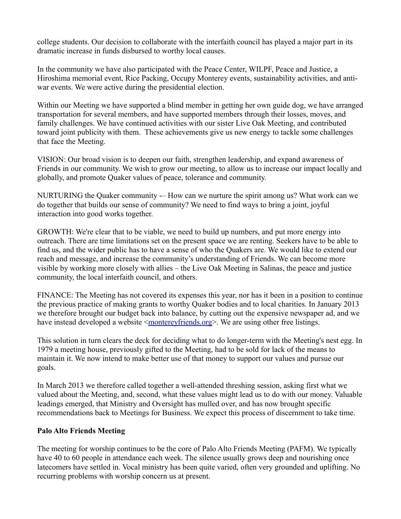college students. Our decision to collaborate with the interfaith council has played a major part in its dramatic increase in funds disbursed to worthy local causes.

In the community we have also participated with the Peace Center, WILPF, Peace and Justice, a Hiroshima memorial event, Rice Packing, Occupy Monterey events, sustainability activities, and antiwar events. We were active during the presidential election.

Within our Meeting we have supported a blind member in getting her own guide dog, we have arranged transportation for several members, and have supported members through their losses, moves, and family challenges. We have continued activities with our sister Live Oak Meeting, and contributed toward joint publicity with them. These achievements give us new energy to tackle some challenges that face the Meeting.

VISION: Our broad vision is to deepen our faith, strengthen leadership, and expand awareness of Friends in our community. We wish to grow our meeting, to allow us to increase our impact locally and globally, and promote Quaker values of peace, tolerance and community.

NURTURING the Quaker community -- How can we nurture the spirit among us? What work can we do together that builds our sense of community? We need to find ways to bring a joint, joyful interaction into good works together.

GROWTH: We're clear that to be viable, we need to build up numbers, and put more energy into outreach. There are time limitations set on the present space we are renting. Seekers have to be able to find us, and the wider public has to have a sense of who the Quakers are. We would like to extend our reach and message, and increase the community's understanding of Friends. We can become more visible by working more closely with allies – the Live Oak Meeting in Salinas, the peace and justice community, the local interfaith council, and others.

FINANCE: The Meeting has not covered its expenses this year, nor has it been in a position to continue the previous practice of making grants to worthy Quaker bodies and to local charities. In January 2013 we therefore brought our budget back into balance, by cutting out the expensive newspaper ad, and we have instead developed a website <<u>montereyfriends.org</u>>. We are using other free listings.

This solution in turn clears the deck for deciding what to do longer-term with the Meeting's nest egg. In 1979 a meeting house, previously gifted to the Meeting, had to be sold for lack of the means to maintain it. We now intend to make better use of that money to support our values and pursue our goals.

In March 2013 we therefore called together a well-attended threshing session, asking first what we valued about the Meeting, and, second, what these values might lead us to do with our money. Valuable leadings emerged, that Ministry and Oversight has mulled over, and has now brought specific recommendations back to Meetings for Business. We expect this process of discernment to take time.

## **Palo Alto Friends Meeting**

The meeting for worship continues to be the core of Palo Alto Friends Meeting (PAFM). We typically have 40 to 60 people in attendance each week. The silence usually grows deep and nourishing once latecomers have settled in. Vocal ministry has been quite varied, often very grounded and uplifting. No recurring problems with worship concern us at present.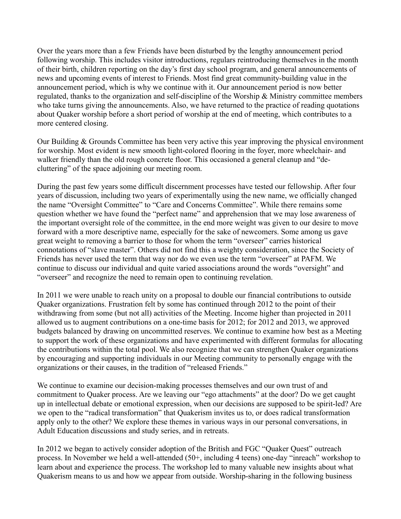Over the years more than a few Friends have been disturbed by the lengthy announcement period following worship. This includes visitor introductions, regulars reintroducing themselves in the month of their birth, children reporting on the day's first day school program, and general announcements of news and upcoming events of interest to Friends. Most find great community-building value in the announcement period, which is why we continue with it. Our announcement period is now better regulated, thanks to the organization and self-discipline of the Worship & Ministry committee members who take turns giving the announcements. Also, we have returned to the practice of reading quotations about Quaker worship before a short period of worship at the end of meeting, which contributes to a more centered closing.

Our Building & Grounds Committee has been very active this year improving the physical environment for worship. Most evident is new smooth light-colored flooring in the foyer, more wheelchair- and walker friendly than the old rough concrete floor. This occasioned a general cleanup and "decluttering" of the space adjoining our meeting room.

During the past few years some difficult discernment processes have tested our fellowship. After four years of discussion, including two years of experimentally using the new name, we officially changed the name "Oversight Committee" to "Care and Concerns Committee". While there remains some question whether we have found the "perfect name" and apprehension that we may lose awareness of the important oversight role of the committee, in the end more weight was given to our desire to move forward with a more descriptive name, especially for the sake of newcomers. Some among us gave great weight to removing a barrier to those for whom the term "overseer" carries historical connotations of "slave master". Others did not find this a weighty consideration, since the Society of Friends has never used the term that way nor do we even use the term "overseer" at PAFM. We continue to discuss our individual and quite varied associations around the words "oversight" and "overseer" and recognize the need to remain open to continuing revelation.

In 2011 we were unable to reach unity on a proposal to double our financial contributions to outside Quaker organizations. Frustration felt by some has continued through 2012 to the point of their withdrawing from some (but not all) activities of the Meeting. Income higher than projected in 2011 allowed us to augment contributions on a one-time basis for 2012; for 2012 and 2013, we approved budgets balanced by drawing on uncommitted reserves. We continue to examine how best as a Meeting to support the work of these organizations and have experimented with different formulas for allocating the contributions within the total pool. We also recognize that we can strengthen Quaker organizations by encouraging and supporting individuals in our Meeting community to personally engage with the organizations or their causes, in the tradition of "released Friends."

We continue to examine our decision-making processes themselves and our own trust of and commitment to Quaker process. Are we leaving our "ego attachments" at the door? Do we get caught up in intellectual debate or emotional expression, when our decisions are supposed to be spirit-led? Are we open to the "radical transformation" that Quakerism invites us to, or does radical transformation apply only to the other? We explore these themes in various ways in our personal conversations, in Adult Education discussions and study series, and in retreats.

In 2012 we began to actively consider adoption of the British and FGC "Quaker Quest" outreach process. In November we held a well-attended (50+, including 4 teens) one-day "inreach" workshop to learn about and experience the process. The workshop led to many valuable new insights about what Quakerism means to us and how we appear from outside. Worship-sharing in the following business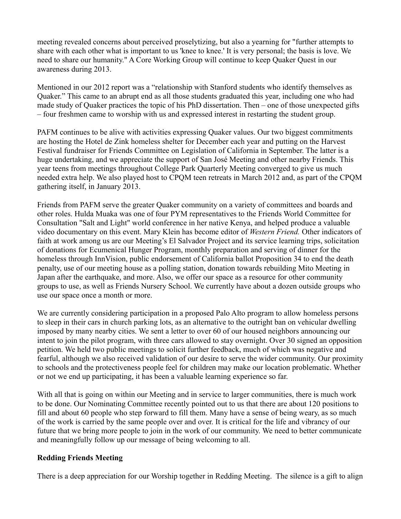meeting revealed concerns about perceived proselytizing, but also a yearning for "further attempts to share with each other what is important to us 'knee to knee.' It is very personal; the basis is love. We need to share our humanity." A Core Working Group will continue to keep Quaker Quest in our awareness during 2013.

Mentioned in our 2012 report was a "relationship with Stanford students who identify themselves as Quaker." This came to an abrupt end as all those students graduated this year, including one who had made study of Quaker practices the topic of his PhD dissertation. Then – one of those unexpected gifts – four freshmen came to worship with us and expressed interest in restarting the student group.

PAFM continues to be alive with activities expressing Quaker values. Our two biggest commitments are hosting the Hotel de Zink homeless shelter for December each year and putting on the Harvest Festival fundraiser for Friends Committee on Legislation of California in September. The latter is a huge undertaking, and we appreciate the support of San José Meeting and other nearby Friends. This year teens from meetings throughout College Park Quarterly Meeting converged to give us much needed extra help. We also played host to CPQM teen retreats in March 2012 and, as part of the CPQM gathering itself, in January 2013.

Friends from PAFM serve the greater Quaker community on a variety of committees and boards and other roles. Hulda Muaka was one of four PYM representatives to the Friends World Committee for Consultation "Salt and Light" world conference in her native Kenya, and helped produce a valuable video documentary on this event. Mary Klein has become editor of *Western Friend.* Other indicators of faith at work among us are our Meeting's El Salvador Project and its service learning trips, solicitation of donations for Ecumenical Hunger Program, monthly preparation and serving of dinner for the homeless through InnVision, public endorsement of California ballot Proposition 34 to end the death penalty, use of our meeting house as a polling station, donation towards rebuilding Mito Meeting in Japan after the earthquake, and more. Also, we offer our space as a resource for other community groups to use, as well as Friends Nursery School. We currently have about a dozen outside groups who use our space once a month or more.

We are currently considering participation in a proposed Palo Alto program to allow homeless persons to sleep in their cars in church parking lots, as an alternative to the outright ban on vehicular dwelling imposed by many nearby cities. We sent a letter to over 60 of our housed neighbors announcing our intent to join the pilot program, with three cars allowed to stay overnight. Over 30 signed an opposition petition. We held two public meetings to solicit further feedback, much of which was negative and fearful, although we also received validation of our desire to serve the wider community. Our proximity to schools and the protectiveness people feel for children may make our location problematic. Whether or not we end up participating, it has been a valuable learning experience so far.

With all that is going on within our Meeting and in service to larger communities, there is much work to be done. Our Nominating Committee recently pointed out to us that there are about 120 positions to fill and about 60 people who step forward to fill them. Many have a sense of being weary, as so much of the work is carried by the same people over and over. It is critical for the life and vibrancy of our future that we bring more people to join in the work of our community. We need to better communicate and meaningfully follow up our message of being welcoming to all.

#### **Redding Friends Meeting**

There is a deep appreciation for our Worship together in Redding Meeting. The silence is a gift to align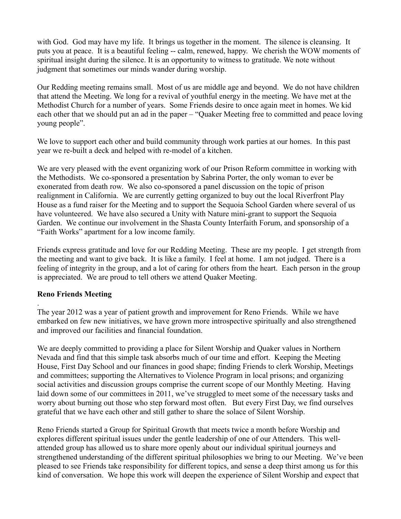with God. God may have my life. It brings us together in the moment. The silence is cleansing. It puts you at peace. It is a beautiful feeling -- calm, renewed, happy. We cherish the WOW moments of spiritual insight during the silence. It is an opportunity to witness to gratitude. We note without judgment that sometimes our minds wander during worship.

Our Redding meeting remains small. Most of us are middle age and beyond. We do not have children that attend the Meeting. We long for a revival of youthful energy in the meeting. We have met at the Methodist Church for a number of years. Some Friends desire to once again meet in homes. We kid each other that we should put an ad in the paper – "Quaker Meeting free to committed and peace loving young people".

We love to support each other and build community through work parties at our homes. In this past year we re-built a deck and helped with re-model of a kitchen.

We are very pleased with the event organizing work of our Prison Reform committee in working with the Methodists. We co-sponsored a presentation by Sabrina Porter, the only woman to ever be exonerated from death row. We also co-sponsored a panel discussion on the topic of prison realignment in California. We are currently getting organized to buy out the local Riverfront Play House as a fund raiser for the Meeting and to support the Sequoia School Garden where several of us have volunteered. We have also secured a Unity with Nature mini-grant to support the Sequoia Garden. We continue our involvement in the Shasta County Interfaith Forum, and sponsorship of a "Faith Works" apartment for a low income family.

Friends express gratitude and love for our Redding Meeting. These are my people. I get strength from the meeting and want to give back. It is like a family. I feel at home. I am not judged. There is a feeling of integrity in the group, and a lot of caring for others from the heart. Each person in the group is appreciated. We are proud to tell others we attend Quaker Meeting.

## **Reno Friends Meeting**

.

The year 2012 was a year of patient growth and improvement for Reno Friends. While we have embarked on few new initiatives, we have grown more introspective spiritually and also strengthened and improved our facilities and financial foundation.

We are deeply committed to providing a place for Silent Worship and Quaker values in Northern Nevada and find that this simple task absorbs much of our time and effort. Keeping the Meeting House, First Day School and our finances in good shape; finding Friends to clerk Worship, Meetings and committees; supporting the Alternatives to Violence Program in local prisons; and organizing social activities and discussion groups comprise the current scope of our Monthly Meeting. Having laid down some of our committees in 2011, we've struggled to meet some of the necessary tasks and worry about burning out those who step forward most often. But every First Day, we find ourselves grateful that we have each other and still gather to share the solace of Silent Worship.

Reno Friends started a Group for Spiritual Growth that meets twice a month before Worship and explores different spiritual issues under the gentle leadership of one of our Attenders. This wellattended group has allowed us to share more openly about our individual spiritual journeys and strengthened understanding of the different spiritual philosophies we bring to our Meeting. We've been pleased to see Friends take responsibility for different topics, and sense a deep thirst among us for this kind of conversation. We hope this work will deepen the experience of Silent Worship and expect that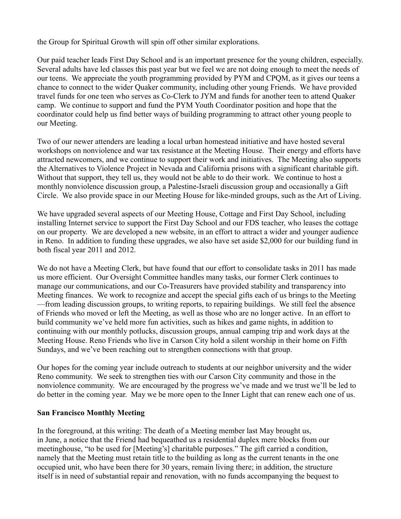the Group for Spiritual Growth will spin off other similar explorations.

Our paid teacher leads First Day School and is an important presence for the young children, especially. Several adults have led classes this past year but we feel we are not doing enough to meet the needs of our teens. We appreciate the youth programming provided by PYM and CPQM, as it gives our teens a chance to connect to the wider Quaker community, including other young Friends. We have provided travel funds for one teen who serves as Co-Clerk to JYM and funds for another teen to attend Quaker camp. We continue to support and fund the PYM Youth Coordinator position and hope that the coordinator could help us find better ways of building programming to attract other young people to our Meeting.

Two of our newer attenders are leading a local urban homestead initiative and have hosted several workshops on nonviolence and war tax resistance at the Meeting House. Their energy and efforts have attracted newcomers, and we continue to support their work and initiatives. The Meeting also supports the Alternatives to Violence Project in Nevada and California prisons with a significant charitable gift. Without that support, they tell us, they would not be able to do their work. We continue to host a monthly nonviolence discussion group, a Palestine-Israeli discussion group and occasionally a Gift Circle. We also provide space in our Meeting House for like-minded groups, such as the Art of Living.

We have upgraded several aspects of our Meeting House, Cottage and First Day School, including installing Internet service to support the First Day School and our FDS teacher, who leases the cottage on our property. We are developed a new website, in an effort to attract a wider and younger audience in Reno. In addition to funding these upgrades, we also have set aside \$2,000 for our building fund in both fiscal year 2011 and 2012.

We do not have a Meeting Clerk, but have found that our effort to consolidate tasks in 2011 has made us more efficient. Our Oversight Committee handles many tasks, our former Clerk continues to manage our communications, and our Co-Treasurers have provided stability and transparency into Meeting finances. We work to recognize and accept the special gifts each of us brings to the Meeting —from leading discussion groups, to writing reports, to repairing buildings. We still feel the absence of Friends who moved or left the Meeting, as well as those who are no longer active. In an effort to build community we've held more fun activities, such as hikes and game nights, in addition to continuing with our monthly potlucks, discussion groups, annual camping trip and work days at the Meeting House. Reno Friends who live in Carson City hold a silent worship in their home on Fifth Sundays, and we've been reaching out to strengthen connections with that group.

Our hopes for the coming year include outreach to students at our neighbor university and the wider Reno community. We seek to strengthen ties with our Carson City community and those in the nonviolence community. We are encouraged by the progress we've made and we trust we'll be led to do better in the coming year. May we be more open to the Inner Light that can renew each one of us.

## **San Francisco Monthly Meeting**

In the foreground, at this writing: The death of a Meeting member last May brought us, in June, a notice that the Friend had bequeathed us a residential duplex mere blocks from our meetinghouse, "to be used for [Meeting's] charitable purposes." The gift carried a condition, namely that the Meeting must retain title to the building as long as the current tenants in the one occupied unit, who have been there for 30 years, remain living there; in addition, the structure itself is in need of substantial repair and renovation, with no funds accompanying the bequest to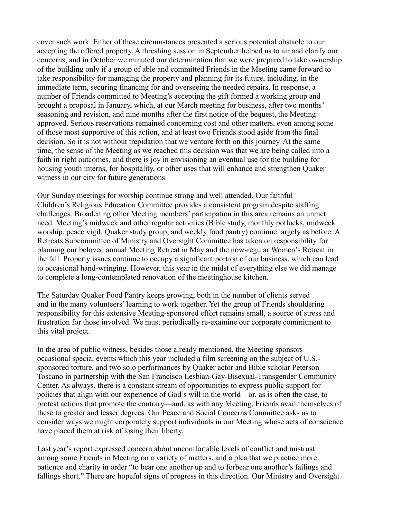cover such work. Either of these circumstances presented a serious potential obstacle to our accepting the offered property. A threshing session in September helped us to air and clarify our concerns, and in October we minuted our determination that we were prepared to take ownership of the building only if a group of able and committed Friends in the Meeting came forward to take responsibility for managing the property and planning for its future, including, in the immediate term, securing financing for and overseeing the needed repairs. In response, a number of Friends committed to Meeting's accepting the gift formed a working group and brought a proposal in January, which, at our March meeting for business, after two months' seasoning and revision, and nine months after the first notice of the bequest, the Meeting approved. Serious reservations remained concerning cost and other matters, even among some of those most supportive of this action, and at least two Friends stood aside from the final decision. So it is not without trepidation that we venture forth on this journey. At the same time, the sense of the Meeting as we reached this decision was that we are being called into a faith in right outcomes, and there is joy in envisioning an eventual use for the building for housing youth interns, for hospitality, or other uses that will enhance and strengthen Quaker witness in our city for future generations.

Our Sunday meetings for worship continue strong and well attended. Our faithful Children's Religious Education Committee provides a consistent program despite staffing challenges. Broadening other Meeting members' participation in this area remains an unmet need. Meeting's midweek and other regular activities (Bible study, monthly potlucks, midweek worship, peace vigil, Quaker study group, and weekly food pantry) continue largely as before. A Retreats Subcommittee of Ministry and Oversight Committee has taken on responsibility for planning our beloved annual Meeting Retreat in May and the now-regular Women's Retreat in the fall. Property issues continue to occupy a significant portion of our business, which can lead to occasional hand-wringing. However, this year in the midst of everything else we did manage to complete a long-contemplated renovation of the meetinghouse kitchen.

The Saturday Quaker Food Pantry keeps growing, both in the number of clients served and in the many volunteers' learning to work together. Yet the group of Friends shouldering responsibility for this extensive Meeting-sponsored effort remains small, a source of stress and frustration for those involved. We must periodically re-examine our corporate commitment to this vital project.

In the area of public witness, besides those already mentioned, the Meeting sponsors occasional special events which this year included a film screening on the subject of U.S. sponsored torture, and two solo performances by Quaker actor and Bible scholar Peterson Toscano in partnership with the San Francisco Lesbian-Gay-Bisexual-Transgender Community Center. As always, there is a constant stream of opportunities to express public support for policies that align with our experience of God's will in the world—or, as is often the case, to protest actions that promote the contrary—and, as with any Meeting, Friends avail themselves of these to greater and lesser degrees. Our Peace and Social Concerns Committee asks us to consider ways we might corporately support individuals in our Meeting whose acts of conscience have placed them at risk of losing their liberty.

Last year's report expressed concern about uncomfortable levels of conflict and mistrust among some Friends in Meeting on a variety of matters, and a plea that we practice more patience and charity in order "to bear one another up and to forbear one another's failings and fallings short." There are hopeful signs of progress in this direction. Our Ministry and Oversight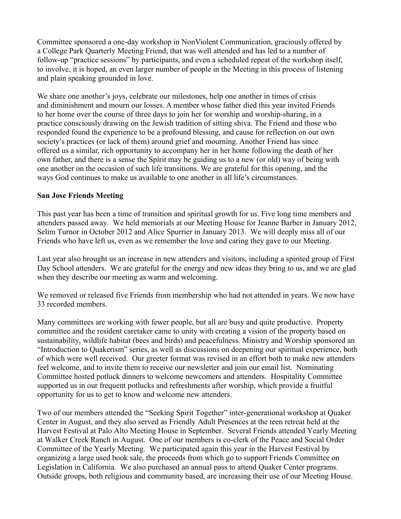Committee sponsored a one-day workshop in NonViolent Communication, graciously offered by a College Park Quarterly Meeting Friend, that was well attended and has led to a number of follow-up "practice sessions" by participants, and even a scheduled repeat of the workshop itself, to involve, it is hoped, an even larger number of people in the Meeting in this process of listening and plain speaking grounded in love.

We share one another's joys, celebrate our milestones, help one another in times of crisis and diminishment and mourn our losses. A member whose father died this year invited Friends to her home over the course of three days to join her for worship and worship-sharing, in a practice consciously drawing on the Jewish tradition of sitting shiva. The Friend and those who responded found the experience to be a profound blessing, and cause for reflection on our own society's practices (or lack of them) around grief and mourning. Another Friend has since offered us a similar, rich opportunity to accompany her in her home following the death of her own father, and there is a sense the Spirit may be guiding us to a new (or old) way of being with one another on the occasion of such life transitions. We are grateful for this opening, and the ways God continues to make us available to one another in all life's circumstances.

### **San Jose Friends Meeting**

This past year has been a time of transition and spiritual growth for us. Five long time members and attenders passed away. We held memorials at our Meeting House for Jeanne Barber in January 2012, Selim Turnor in October 2012 and Alice Spurrier in January 2013. We will deeply miss all of our Friends who have left us, even as we remember the love and caring they gave to our Meeting.

Last year also brought us an increase in new attenders and visitors, including a spirited group of First Day School attenders. We are grateful for the energy and new ideas they bring to us, and we are glad when they describe our meeting as warm and welcoming.

We removed or released five Friends from membership who had not attended in years. We now have 33 recorded members.

Many committees are working with fewer people, but all are busy and quite productive. Property committee and the resident caretaker came to unity with creating a vision of the property based on sustainability, wildlife habitat (bees and birds) and peacefulness. Ministry and Worship sponsored an "Introduction to Quakerism" series, as well as discussions on deepening our spiritual experience, both of which were well received. Our greeter format was revised in an effort both to make new attenders feel welcome, and to invite them to receive our newsletter and join our email list. Nominating Committee hosted potluck dinners to welcome newcomers and attenders. Hospitality Committee supported us in our frequent potlucks and refreshments after worship, which provide a fruitful opportunity for us to get to know and welcome new attenders.

Two of our members attended the "Seeking Spirit Together" inter-generational workshop at Quaker Center in August, and they also served as Friendly Adult Presences at the teen retreat held at the Harvest Festival at Palo Alto Meeting House in September. Several Friends attended Yearly Meeting at Walker Creek Ranch in August. One of our members is co-clerk of the Peace and Social Order Committee of the Yearly Meeting. We participated again this year in the Harvest Festival by organizing a large used book sale, the proceeds from which go to support Friends Committee on Legislation in California. We also purchased an annual pass to attend Quaker Center programs. Outside groups, both religious and community based, are increasing their use of our Meeting House.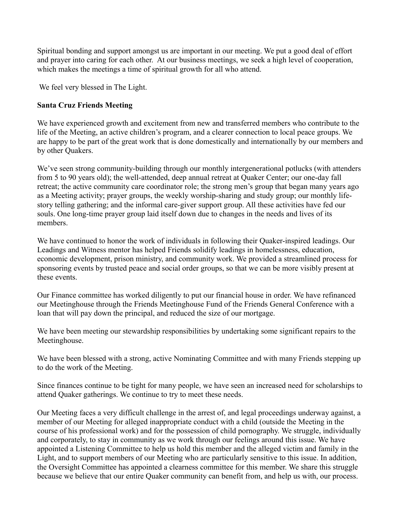Spiritual bonding and support amongst us are important in our meeting. We put a good deal of effort and prayer into caring for each other. At our business meetings, we seek a high level of cooperation, which makes the meetings a time of spiritual growth for all who attend.

We feel very blessed in The Light.

# **Santa Cruz Friends Meeting**

We have experienced growth and excitement from new and transferred members who contribute to the life of the Meeting, an active children's program, and a clearer connection to local peace groups. We are happy to be part of the great work that is done domestically and internationally by our members and by other Quakers.

We've seen strong community-building through our monthly intergenerational potlucks (with attenders from 5 to 90 years old); the well-attended, deep annual retreat at Quaker Center; our one-day fall retreat; the active community care coordinator role; the strong men's group that began many years ago as a Meeting activity; prayer groups, the weekly worship-sharing and study group; our monthly lifestory telling gathering; and the informal care-giver support group. All these activities have fed our souls. One long-time prayer group laid itself down due to changes in the needs and lives of its members.

We have continued to honor the work of individuals in following their Quaker-inspired leadings. Our Leadings and Witness mentor has helped Friends solidify leadings in homelessness, education, economic development, prison ministry, and community work. We provided a streamlined process for sponsoring events by trusted peace and social order groups, so that we can be more visibly present at these events.

Our Finance committee has worked diligently to put our financial house in order. We have refinanced our Meetinghouse through the Friends Meetinghouse Fund of the Friends General Conference with a loan that will pay down the principal, and reduced the size of our mortgage.

We have been meeting our stewardship responsibilities by undertaking some significant repairs to the Meetinghouse.

We have been blessed with a strong, active Nominating Committee and with many Friends stepping up to do the work of the Meeting.

Since finances continue to be tight for many people, we have seen an increased need for scholarships to attend Quaker gatherings. We continue to try to meet these needs.

Our Meeting faces a very difficult challenge in the arrest of, and legal proceedings underway against, a member of our Meeting for alleged inappropriate conduct with a child (outside the Meeting in the course of his professional work) and for the possession of child pornography. We struggle, individually and corporately, to stay in community as we work through our feelings around this issue. We have appointed a Listening Committee to help us hold this member and the alleged victim and family in the Light, and to support members of our Meeting who are particularly sensitive to this issue. In addition, the Oversight Committee has appointed a clearness committee for this member. We share this struggle because we believe that our entire Quaker community can benefit from, and help us with, our process.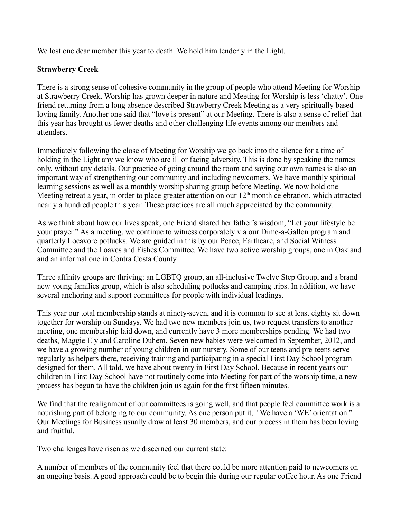We lost one dear member this year to death. We hold him tenderly in the Light.

## **Strawberry Creek**

There is a strong sense of cohesive community in the group of people who attend Meeting for Worship at Strawberry Creek. Worship has grown deeper in nature and Meeting for Worship is less 'chatty'. One friend returning from a long absence described Strawberry Creek Meeting as a very spiritually based loving family. Another one said that "love is present" at our Meeting. There is also a sense of relief that this year has brought us fewer deaths and other challenging life events among our members and attenders.

Immediately following the close of Meeting for Worship we go back into the silence for a time of holding in the Light any we know who are ill or facing adversity. This is done by speaking the names only, without any details. Our practice of going around the room and saying our own names is also an important way of strengthening our community and including newcomers. We have monthly spiritual learning sessions as well as a monthly worship sharing group before Meeting. We now hold one Meeting retreat a year, in order to place greater attention on our  $12<sup>th</sup>$  month celebration, which attracted nearly a hundred people this year. These practices are all much appreciated by the community.

As we think about how our lives speak, one Friend shared her father's wisdom, "Let your lifestyle be your prayer." As a meeting, we continue to witness corporately via our Dime-a-Gallon program and quarterly Locavore potlucks. We are guided in this by our Peace, Earthcare, and Social Witness Committee and the Loaves and Fishes Committee. We have two active worship groups, one in Oakland and an informal one in Contra Costa County.

Three affinity groups are thriving: an LGBTQ group, an all-inclusive Twelve Step Group, and a brand new young families group, which is also scheduling potlucks and camping trips. In addition, we have several anchoring and support committees for people with individual leadings.

This year our total membership stands at ninety-seven, and it is common to see at least eighty sit down together for worship on Sundays. We had two new members join us, two request transfers to another meeting, one membership laid down, and currently have 3 more memberships pending. We had two deaths, Maggie Ely and Caroline Duhem. Seven new babies were welcomed in September, 2012, and we have a growing number of young children in our nursery. Some of our teens and pre-teens serve regularly as helpers there, receiving training and participating in a special First Day School program designed for them. All told, we have about twenty in First Day School. Because in recent years our children in First Day School have not routinely come into Meeting for part of the worship time, a new process has begun to have the children join us again for the first fifteen minutes.

We find that the realignment of our committees is going well, and that people feel committee work is a nourishing part of belonging to our community. As one person put it, *"*We have a 'WE' orientation." Our Meetings for Business usually draw at least 30 members, and our process in them has been loving and fruitful.

Two challenges have risen as we discerned our current state:

A number of members of the community feel that there could be more attention paid to newcomers on an ongoing basis. A good approach could be to begin this during our regular coffee hour. As one Friend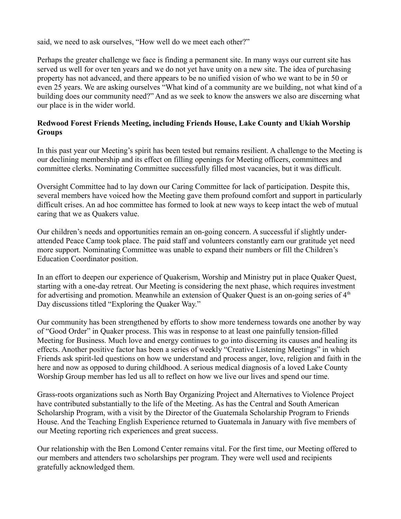said, we need to ask ourselves, "How well do we meet each other?"

Perhaps the greater challenge we face is finding a permanent site. In many ways our current site has served us well for over ten years and we do not yet have unity on a new site. The idea of purchasing property has not advanced, and there appears to be no unified vision of who we want to be in 50 or even 25 years. We are asking ourselves "What kind of a community are we building, not what kind of a building does our community need?" And as we seek to know the answers we also are discerning what our place is in the wider world.

# **Redwood Forest Friends Meeting, including Friends House, Lake County and Ukiah Worship Groups**

In this past year our Meeting's spirit has been tested but remains resilient. A challenge to the Meeting is our declining membership and its effect on filling openings for Meeting officers, committees and committee clerks. Nominating Committee successfully filled most vacancies, but it was difficult.

Oversight Committee had to lay down our Caring Committee for lack of participation. Despite this, several members have voiced how the Meeting gave them profound comfort and support in particularly difficult crises. An ad hoc committee has formed to look at new ways to keep intact the web of mutual caring that we as Quakers value.

Our children's needs and opportunities remain an on-going concern. A successful if slightly underattended Peace Camp took place. The paid staff and volunteers constantly earn our gratitude yet need more support. Nominating Committee was unable to expand their numbers or fill the Children's Education Coordinator position.

In an effort to deepen our experience of Quakerism, Worship and Ministry put in place Quaker Quest, starting with a one-day retreat. Our Meeting is considering the next phase, which requires investment for advertising and promotion. Meanwhile an extension of Quaker Quest is an on-going series of  $4<sup>th</sup>$ Day discussions titled "Exploring the Quaker Way."

Our community has been strengthened by efforts to show more tenderness towards one another by way of "Good Order" in Quaker process. This was in response to at least one painfully tension-filled Meeting for Business. Much love and energy continues to go into discerning its causes and healing its effects. Another positive factor has been a series of weekly "Creative Listening Meetings" in which Friends ask spirit-led questions on how we understand and process anger, love, religion and faith in the here and now as opposed to during childhood. A serious medical diagnosis of a loved Lake County Worship Group member has led us all to reflect on how we live our lives and spend our time.

Grass-roots organizations such as North Bay Organizing Project and Alternatives to Violence Project have contributed substantially to the life of the Meeting. As has the Central and South American Scholarship Program, with a visit by the Director of the Guatemala Scholarship Program to Friends House. And the Teaching English Experience returned to Guatemala in January with five members of our Meeting reporting rich experiences and great success.

Our relationship with the Ben Lomond Center remains vital. For the first time, our Meeting offered to our members and attenders two scholarships per program. They were well used and recipients gratefully acknowledged them.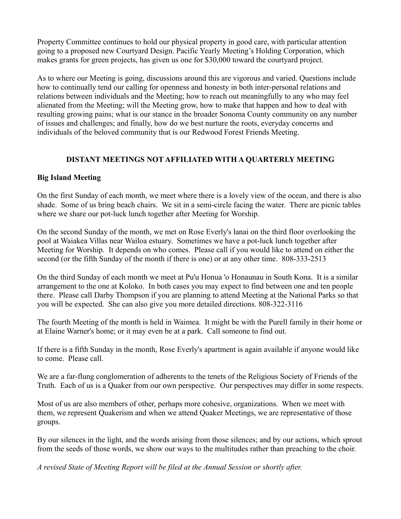Property Committee continues to hold our physical property in good care, with particular attention going to a proposed new Courtyard Design. Pacific Yearly Meeting's Holding Corporation, which makes grants for green projects, has given us one for \$30,000 toward the courtyard project.

As to where our Meeting is going, discussions around this are vigorous and varied. Questions include how to continually tend our calling for openness and honesty in both inter-personal relations and relations between individuals and the Meeting; how to reach out meaningfully to any who may feel alienated from the Meeting; will the Meeting grow, how to make that happen and how to deal with resulting growing pains; what is our stance in the broader Sonoma County community on any number of issues and challenges; and finally, how do we best nurture the roots, everyday concerns and individuals of the beloved community that is our Redwood Forest Friends Meeting.

# **DISTANT MEETINGS NOT AFFILIATED WITH A QUARTERLY MEETING**

## **Big Island Meeting**

On the first Sunday of each month, we meet where there is a lovely view of the ocean, and there is also shade. Some of us bring beach chairs. We sit in a semi-circle facing the water. There are picnic tables where we share our pot-luck lunch together after Meeting for Worship.

On the second Sunday of the month, we met on Rose Everly's lanai on the third floor overlooking the pool at Waiakea Villas near Wailoa estuary. Sometimes we have a pot-luck lunch together after Meeting for Worship. It depends on who comes. Please call if you would like to attend on either the second (or the fifth Sunday of the month if there is one) or at any other time. 808-333-2513

On the third Sunday of each month we meet at Pu'u Honua 'o Honaunau in South Kona. It is a similar arrangement to the one at Koloko. In both cases you may expect to find between one and ten people there. Please call Darby Thompson if you are planning to attend Meeting at the National Parks so that you will be expected. She can also give you more detailed directions. 808-322-3116

The fourth Meeting of the month is held in Waimea. It might be with the Purell family in their home or at Elaine Warner's home; or it may even be at a park. Call someone to find out.

If there is a fifth Sunday in the month, Rose Everly's apartment is again available if anyone would like to come. Please call.

We are a far-flung conglomeration of adherents to the tenets of the Religious Society of Friends of the Truth. Each of us is a Quaker from our own perspective. Our perspectives may differ in some respects.

Most of us are also members of other, perhaps more cohesive, organizations. When we meet with them, we represent Quakerism and when we attend Quaker Meetings, we are representative of those groups.

By our silences in the light, and the words arising from those silences; and by our actions, which sprout from the seeds of those words, we show our ways to the multitudes rather than preaching to the choir.

*A revised State of Meeting Report will be filed at the Annual Session or shortly after.*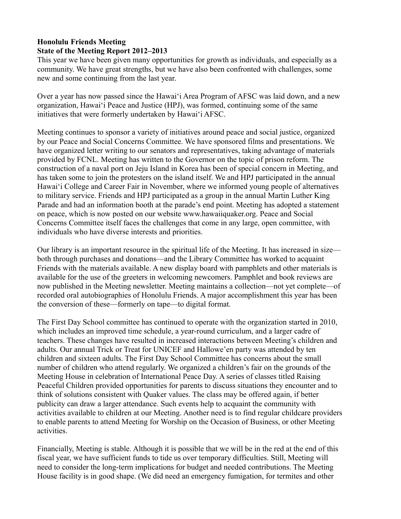# **Honolulu Friends Meeting State of the Meeting Report 2012–2013**

This year we have been given many opportunities for growth as individuals, and especially as a community. We have great strengths, but we have also been confronted with challenges, some new and some continuing from the last year.

Over a year has now passed since the Hawai'i Area Program of AFSC was laid down, and a new organization, Hawai'i Peace and Justice (HPJ), was formed, continuing some of the same initiatives that were formerly undertaken by Hawai'i AFSC.

Meeting continues to sponsor a variety of initiatives around peace and social justice, organized by our Peace and Social Concerns Committee. We have sponsored films and presentations. We have organized letter writing to our senators and representatives, taking advantage of materials provided by FCNL. Meeting has written to the Governor on the topic of prison reform. The construction of a naval port on Jeju Island in Korea has been of special concern in Meeting, and has taken some to join the protesters on the island itself. We and HPJ participated in the annual Hawai'i College and Career Fair in November, where we informed young people of alternatives to military service. Friends and HPJ participated as a group in the annual Martin Luther King Parade and had an information booth at the parade's end point. Meeting has adopted a statement on peace, which is now posted on our website www.hawaiiquaker.org. Peace and Social Concerns Committee itself faces the challenges that come in any large, open committee, with individuals who have diverse interests and priorities.

Our library is an important resource in the spiritual life of the Meeting. It has increased in size both through purchases and donations—and the Library Committee has worked to acquaint Friends with the materials available. A new display board with pamphlets and other materials is available for the use of the greeters in welcoming newcomers. Pamphlet and book reviews are now published in the Meeting newsletter. Meeting maintains a collection—not yet complete—of recorded oral autobiographies of Honolulu Friends. A major accomplishment this year has been the conversion of these—formerly on tape—to digital format.

The First Day School committee has continued to operate with the organization started in 2010, which includes an improved time schedule, a year-round curriculum, and a larger cadre of teachers. These changes have resulted in increased interactions between Meeting's children and adults. Our annual Trick or Treat for UNICEF and Hallowe'en party was attended by ten children and sixteen adults. The First Day School Committee has concerns about the small number of children who attend regularly. We organized a children's fair on the grounds of the Meeting House in celebration of International Peace Day. A series of classes titled Raising Peaceful Children provided opportunities for parents to discuss situations they encounter and to think of solutions consistent with Quaker values. The class may be offered again, if better publicity can draw a larger attendance. Such events help to acquaint the community with activities available to children at our Meeting. Another need is to find regular childcare providers to enable parents to attend Meeting for Worship on the Occasion of Business, or other Meeting activities.

Financially, Meeting is stable. Although it is possible that we will be in the red at the end of this fiscal year, we have sufficient funds to tide us over temporary difficulties. Still, Meeting will need to consider the long-term implications for budget and needed contributions. The Meeting House facility is in good shape. (We did need an emergency fumigation, for termites and other